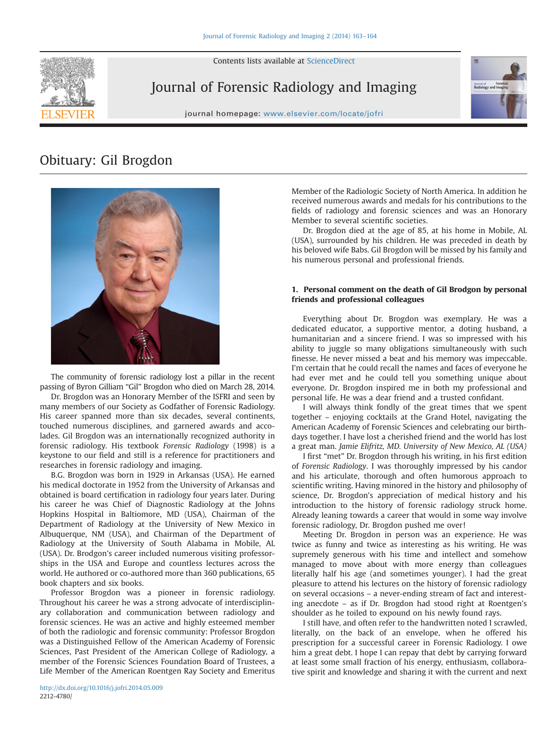

Contents lists available at [ScienceDirect](www.sciencedirect.com/science/journal/22124780)

Journal of Forensic Radiology and Imaging



journal homepage: <www.elsevier.com/locate/jofri>fice.com/locate/jofrifice.com/locate/jofrifice.com/locate/jofrifice.com/locate/jofrifice.com/locate/jofrifice.com/locate/jofrifice.com/locate/jofrifice.com/locate/jofrifice.c

## Obituary: Gil Brogdon



The community of forensic radiology lost a pillar in the recent passing of Byron Gilliam "Gil" Brogdon who died on March 28, 2014.

Dr. Brogdon was an Honorary Member of the ISFRI and seen by many members of our Society as Godfather of Forensic Radiology. His career spanned more than six decades, several continents, touched numerous disciplines, and garnered awards and accolades. Gil Brogdon was an internationally recognized authority in forensic radiology. His textbook Forensic Radiology (1998) is a keystone to our field and still is a reference for practitioners and researches in forensic radiology and imaging.

B.G. Brogdon was born in 1929 in Arkansas (USA). He earned his medical doctorate in 1952 from the University of Arkansas and obtained is board certification in radiology four years later. During his career he was Chief of Diagnostic Radiology at the Johns Hopkins Hospital in Baltiomore, MD (USA), Chairman of the Department of Radiology at the University of New Mexico in Albuquerque, NM (USA), and Chairman of the Department of Radiology at the University of South Alabama in Mobile, AL (USA). Dr. Brodgon's career included numerous visiting professorships in the USA and Europe and countless lectures across the world. He authored or co-authored more than 360 publications, 65 book chapters and six books.

Professor Brogdon was a pioneer in forensic radiology. Throughout his career he was a strong advocate of interdisciplinary collaboration and communication between radiology and forensic sciences. He was an active and highly esteemed member of both the radiologic and forensic community: Professor Brogdon was a Distinguished Fellow of the American Academy of Forensic Sciences, Past President of the American College of Radiology, a member of the Forensic Sciences Foundation Board of Trustees, a Life Member of the American Roentgen Ray Society and Emeritus Member of the Radiologic Society of North America. In addition he received numerous awards and medals for his contributions to the fields of radiology and forensic sciences and was an Honorary Member to several scientific societies.

Dr. Brogdon died at the age of 85, at his home in Mobile, AL (USA), surrounded by his children. He was preceded in death by his beloved wife Babs. Gil Brogdon will be missed by his family and his numerous personal and professional friends.

## 1. Personal comment on the death of Gil Brodgon by personal friends and professional colleagues

Everything about Dr. Brogdon was exemplary. He was a dedicated educator, a supportive mentor, a doting husband, a humanitarian and a sincere friend. I was so impressed with his ability to juggle so many obligations simultaneously with such finesse. He never missed a beat and his memory was impeccable. I'm certain that he could recall the names and faces of everyone he had ever met and he could tell you something unique about everyone. Dr. Brogdon inspired me in both my professional and personal life. He was a dear friend and a trusted confidant.

I will always think fondly of the great times that we spent together – enjoying cocktails at the Grand Hotel, navigating the American Academy of Forensic Sciences and celebrating our birthdays together. I have lost a cherished friend and the world has lost a great man. Jamie Elifritz, MD. University of New Mexico, AL (USA)

I first "met" Dr. Brogdon through his writing, in his first edition of Forensic Radiology. I was thoroughly impressed by his candor and his articulate, thorough and often humorous approach to scientific writing. Having minored in the history and philosophy of science, Dr. Brogdon's appreciation of medical history and his introduction to the history of forensic radiology struck home. Already leaning towards a career that would in some way involve forensic radiology, Dr. Brogdon pushed me over!

Meeting Dr. Brogdon in person was an experience. He was twice as funny and twice as interesting as his writing. He was supremely generous with his time and intellect and somehow managed to move about with more energy than colleagues literally half his age (and sometimes younger). I had the great pleasure to attend his lectures on the history of forensic radiology on several occasions – a never-ending stream of fact and interesting anecdote – as if Dr. Brogdon had stood right at Roentgen's shoulder as he toiled to expound on his newly found rays.

I still have, and often refer to the handwritten noted I scrawled, literally, on the back of an envelope, when he offered his prescription for a successful career in Forensic Radiology. I owe him a great debt. I hope I can repay that debt by carrying forward at least some small fraction of his energy, enthusiasm, collaborative spirit and knowledge and sharing it with the current and next